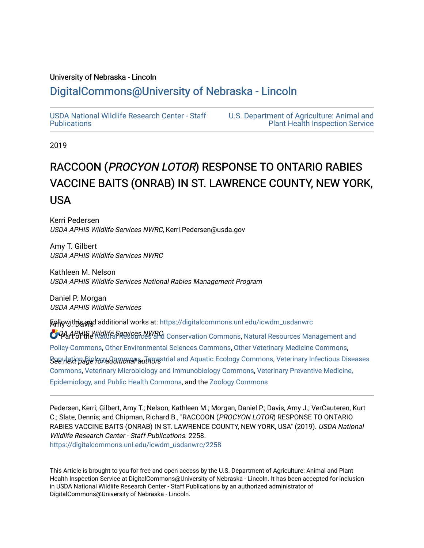# University of Nebraska - Lincoln

# [DigitalCommons@University of Nebraska - Lincoln](https://digitalcommons.unl.edu/)

[USDA National Wildlife Research Center - Staff](https://digitalcommons.unl.edu/icwdm_usdanwrc)  [Publications](https://digitalcommons.unl.edu/icwdm_usdanwrc) 

[U.S. Department of Agriculture: Animal and](https://digitalcommons.unl.edu/usdaaphis)  [Plant Health Inspection Service](https://digitalcommons.unl.edu/usdaaphis) 

2019

# RACCOON (PROCYON LOTOR) RESPONSE TO ONTARIO RABIES VACCINE BAITS (ONRAB) IN ST. LAWRENCE COUNTY, NEW YORK, USA

Kerri Pedersen USDA APHIS Wildlife Services NWRC, Kerri.Pedersen@usda.gov

Amy T. Gilbert USDA APHIS Wildlife Services NWRC

Kathleen M. Nelson USDA APHIS Wildlife Services National Rabies Management Program

Daniel P. Morgan USDA APHIS Wildlife Services

**ቯናብ በማካሄደ አገል የመልክ J. Davis At: [https://digitalcommons.unl.edu/icwdm\\_usdanwrc](https://digitalcommons.unl.edu/icwdm_usdanwrc?utm_source=digitalcommons.unl.edu%2Ficwdm_usdanwrc%2F2258&utm_medium=PDF&utm_campaign=PDFCoverPages) O Paal of the Natural Resources NWRC** Conservation Commons, [Natural Resources Management and](http://network.bepress.com/hgg/discipline/170?utm_source=digitalcommons.unl.edu%2Ficwdm_usdanwrc%2F2258&utm_medium=PDF&utm_campaign=PDFCoverPages)  $\cal B$ aeฟe $\it k$ iopa $\it B$ iel $\it k$ ayaal ane alial and Aquatic Ecology Commons, Veterinary Infectious Diseases [Policy Commons](http://network.bepress.com/hgg/discipline/170?utm_source=digitalcommons.unl.edu%2Ficwdm_usdanwrc%2F2258&utm_medium=PDF&utm_campaign=PDFCoverPages), [Other Environmental Sciences Commons](http://network.bepress.com/hgg/discipline/173?utm_source=digitalcommons.unl.edu%2Ficwdm_usdanwrc%2F2258&utm_medium=PDF&utm_campaign=PDFCoverPages), [Other Veterinary Medicine Commons](http://network.bepress.com/hgg/discipline/771?utm_source=digitalcommons.unl.edu%2Ficwdm_usdanwrc%2F2258&utm_medium=PDF&utm_campaign=PDFCoverPages), [Commons](http://network.bepress.com/hgg/discipline/770?utm_source=digitalcommons.unl.edu%2Ficwdm_usdanwrc%2F2258&utm_medium=PDF&utm_campaign=PDFCoverPages), [Veterinary Microbiology and Immunobiology Commons,](http://network.bepress.com/hgg/discipline/763?utm_source=digitalcommons.unl.edu%2Ficwdm_usdanwrc%2F2258&utm_medium=PDF&utm_campaign=PDFCoverPages) [Veterinary Preventive Medicine,](http://network.bepress.com/hgg/discipline/769?utm_source=digitalcommons.unl.edu%2Ficwdm_usdanwrc%2F2258&utm_medium=PDF&utm_campaign=PDFCoverPages)  [Epidemiology, and Public Health Commons,](http://network.bepress.com/hgg/discipline/769?utm_source=digitalcommons.unl.edu%2Ficwdm_usdanwrc%2F2258&utm_medium=PDF&utm_campaign=PDFCoverPages) and the [Zoology Commons](http://network.bepress.com/hgg/discipline/81?utm_source=digitalcommons.unl.edu%2Ficwdm_usdanwrc%2F2258&utm_medium=PDF&utm_campaign=PDFCoverPages)

Pedersen, Kerri; Gilbert, Amy T.; Nelson, Kathleen M.; Morgan, Daniel P.; Davis, Amy J.; VerCauteren, Kurt C.; Slate, Dennis; and Chipman, Richard B., "RACCOON (PROCYON LOTOR) RESPONSE TO ONTARIO RABIES VACCINE BAITS (ONRAB) IN ST. LAWRENCE COUNTY, NEW YORK, USA" (2019). USDA National Wildlife Research Center - Staff Publications. 2258. [https://digitalcommons.unl.edu/icwdm\\_usdanwrc/2258](https://digitalcommons.unl.edu/icwdm_usdanwrc/2258?utm_source=digitalcommons.unl.edu%2Ficwdm_usdanwrc%2F2258&utm_medium=PDF&utm_campaign=PDFCoverPages) 

This Article is brought to you for free and open access by the U.S. Department of Agriculture: Animal and Plant Health Inspection Service at DigitalCommons@University of Nebraska - Lincoln. It has been accepted for inclusion in USDA National Wildlife Research Center - Staff Publications by an authorized administrator of DigitalCommons@University of Nebraska - Lincoln.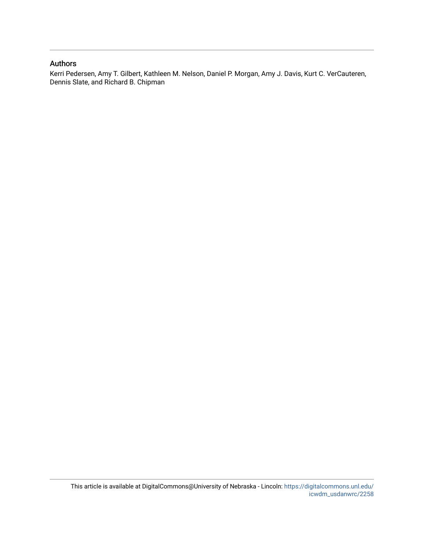# Authors

Kerri Pedersen, Amy T. Gilbert, Kathleen M. Nelson, Daniel P. Morgan, Amy J. Davis, Kurt C. VerCauteren, Dennis Slate, and Richard B. Chipman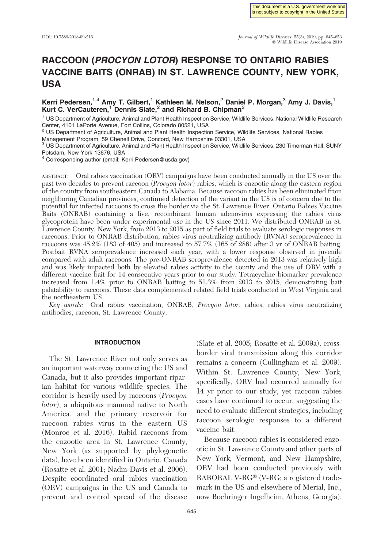# RACCOON (PROCYON LOTOR) RESPONSE TO ONTARIO RABIES VACCINE BAITS (ONRAB) IN ST. LAWRENCE COUNTY, NEW YORK, USA

# Kerri Pedersen,<sup>1,4</sup> Amy T. Gilbert,<sup>1</sup> Kathleen M. Nelson,<sup>2</sup> Daniel P. Morgan,<sup>3</sup> Amy J. Davis,<sup>1</sup> Kurt C. VerCauteren,<sup>1</sup> Dennis Slate,<sup>2</sup> and Richard B. Chipman<sup>2</sup>

<sup>1</sup> US Department of Agriculture, Animal and Plant Health Inspection Service, Wildlife Services, National Wildlife Research Center, 4101 LaPorte Avenue, Fort Collins, Colorado 80521, USA

<sup>2</sup> US Department of Agriculture, Animal and Plant Health Inspection Service, Wildlife Services, National Rabies

Management Program, 59 Chenell Drive, Concord, New Hampshire 03301, USA

 $3$  US Department of Agriculture, Animal and Plant Health Inspection Service, Wildlife Services, 230 Timerman Hall, SUNY Potsdam, New York 13676, USA

<sup>4</sup> Corresponding author (email: Kerri.Pedersen@usda.gov)

ABSTRACT: Oral rabies vaccination (ORV) campaigns have been conducted annually in the US over the past two decades to prevent raccoon (Procyon lotor) rabies, which is enzootic along the eastern region of the country from southeastern Canada to Alabama. Because raccoon rabies has been eliminated from neighboring Canadian provinces, continued detection of the variant in the US is of concern due to the potential for infected raccoons to cross the border via the St. Lawrence River. Ontario Rabies Vaccine Baits (ONRAB) containing a live, recombinant human adenovirus expressing the rabies virus glycoprotein have been under experimental use in the US since 2011. We distributed ONRAB in St. Lawrence County, New York, from 2013 to 2015 as part of field trials to evaluate serologic responses in raccoons. Prior to ONRAB distribution, rabies virus neutralizing antibody (RVNA) seroprevalence in raccoons was 45.2% (183 of 405) and increased to 57.7% (165 of 286) after 3 yr of ONRAB baiting. Postbait RVNA seroprevalence increased each year, with a lower response observed in juvenile compared with adult raccoons. The pre-ONRAB seroprevalence detected in 2013 was relatively high and was likely impacted both by elevated rabies activity in the county and the use of ORV with a different vaccine bait for 14 consecutive years prior to our study. Tetracycline biomarker prevalence increased from 1.4% prior to ONRAB baiting to 51.3% from 2013 to 2015, demonstrating bait palatability to raccoons. These data complemented related field trials conducted in West Virginia and the northeastern US.

Key words: Oral rabies vaccination, ONRAB, Procyon lotor, rabies, rabies virus neutralizing antibodies, raccoon, St. Lawrence County.

### INTRODUCTION

The St. Lawrence River not only serves as an important waterway connecting the US and Canada, but it also provides important riparian habitat for various wildlife species. The corridor is heavily used by raccoons (Procyon lotor), a ubiquitous mammal native to North America, and the primary reservoir for raccoon rabies virus in the eastern US (Monroe et al. 2016). Rabid raccoons from the enzootic area in St. Lawrence County, New York (as supported by phylogenetic data), have been identified in Ontario, Canada (Rosatte et al. 2001; Nadin-Davis et al. 2006). Despite coordinated oral rabies vaccination (ORV) campaigns in the US and Canada to prevent and control spread of the disease

(Slate et al. 2005; Rosatte et al. 2009a), crossborder viral transmission along this corridor remains a concern (Cullingham et al. 2009). Within St. Lawrence County, New York, specifically, ORV had occurred annually for 14 yr prior to our study, yet raccoon rabies cases have continued to occur, suggesting the need to evaluate different strategies, including raccoon serologic responses to a different vaccine bait.

Because raccoon rabies is considered enzootic in St. Lawrence County and other parts of New York, Vermont, and New Hampshire, ORV had been conducted previously with RABORAL V-RG® (V-RG; a registered trademark in the US and elsewhere of Merial, Inc., now Boehringer Ingelheim, Athens, Georgia),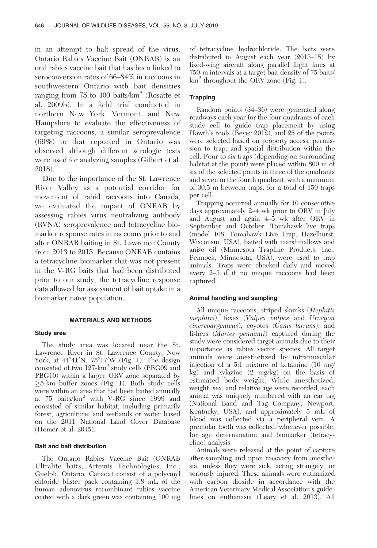in an attempt to halt spread of the virus. Ontario Rabies Vaccine Bait (ONRAB) is an oral rabies vaccine bait that has been linked to seroconversion rates of 66–84% in raccoons in southwestern Ontario with bait densities ranging from 75 to 400 baits/ $km^2$  (Rosatte et al. 2009b). In a field trial conducted in northern New York, Vermont, and New Hampshire to evaluate the effectiveness of targeting raccoons, a similar seroprevalence (69%) to that reported in Ontario was observed although different serologic tests were used for analyzing samples (Gilbert et al. 2018).

Due to the importance of the St. Lawrence River Valley as a potential corridor for movement of rabid raccoons into Canada, we evaluated the impact of ONRAB by assessing rabies virus neutralizing antibody (RVNA) seroprevalence and tetracycline biomarker response rates in raccoons prior to and after ONRAB baiting in St. Lawrence County from 2013 to 2015. Because ONRAB contains a tetracycline biomarker that was not present in the V-RG baits that had been distributed prior to our study, the tetracycline response data allowed for assessment of bait uptake in a biomarker naïve population.

#### MATERIALS AND METHODS

#### Study area

The study area was located near the St. Lawrence River in St. Lawrence County, New York, at  $44^{\circ}41'$ N,  $75^{\circ}17'$ W (Fig. 1). The design consisted of two 127-km<sup>2</sup> study cells (PBG09 and PBG10) within a larger ORV zone separated by -5-km buffer zones (Fig. 1). Both study cells were within an area that had been baited annually at 75 baits/km<sup>2</sup> with V-RG since 1999 and consisted of similar habitat, including primarily forest, agriculture, and wetlands or water based on the 2011 National Land Cover Database (Homer et al. 2015).

# Bait and bait distribution

The Ontario Rabies Vaccine Bait (ONRAB Ultralite baits, Artemis Technologies, Inc., Guelph, Ontario, Canada) consist of a polyvinyl chloride blister pack containing 1.8 mL of the human adenovirus recombinant rabies vaccine coated with a dark green wax containing 100 mg of tetracycline hydrochloride. The baits were distributed in August each year (2013–15) by fixed-wing aircraft along parallel flight lines at 750-m intervals at a target bait density of 75 baits/  $km^2$  throughout the ORV zone (Fig. 1).

# **Trapping**

Random points (34–36) were generated along roadways each year for the four quadrants of each study cell to guide trap placement by using Hawth's tools (Beyer 2012), and 25 of the points were selected based on property access, permission to trap, and spatial distribution within the cell. Four to six traps (depending on surrounding habitat at the point) were placed within 800 m of six of the selected points in three of the quadrants and seven in the fourth quadrant, with a minimum of 30.5 m between traps, for a total of 150 traps per cell.

Trapping occurred annually for 10 consecutive days approximately 2–4 wk prior to ORV in July and August and again 4–5 wk after ORV in September and October. Tomahawk live traps (model 108; Tomahawk Live Trap, Hazelhurst, Wisconsin, USA), baited with marshmallows and anise oil (Minnesota Trapline Products, Inc., Pennock, Minnesota, USA), were used to trap animals. Traps were checked daily and moved every 2–3 d if no unique raccoons had been captured.

#### Animal handling and sampling

All unique raccoons, striped skunks (Mephitis mephitis), foxes (Vulpes vulpes and Urocyon cinereoargenteus), coyotes (Canis latrans), and fishers (Martes pennanti) captured during the study were considered target animals due to their importance as rabies vector species. All target animals were anesthetized by intramuscular injection of a 5:1 mixture of ketamine (10 mg/ kg) and xylazine (2 mg/kg) on the basis of estimated body weight. While anesthetized, weight, sex, and relative age were recorded, each animal was uniquely numbered with an ear tag (National Band and Tag Company, Newport, Kentucky, USA), and approximately 5 mL of blood was collected via a peripheral vein. A premolar tooth was collected, whenever possible, for age determination and biomarker (tetracycline) analysis.

Animals were released at the point of capture after sampling and upon recovery from anesthesia, unless they were sick, acting strangely, or seriously injured. These animals were euthanized with carbon dioxide in accordance with the American Veterinary Medical Association's guidelines on euthanasia (Leary et al. 2013). All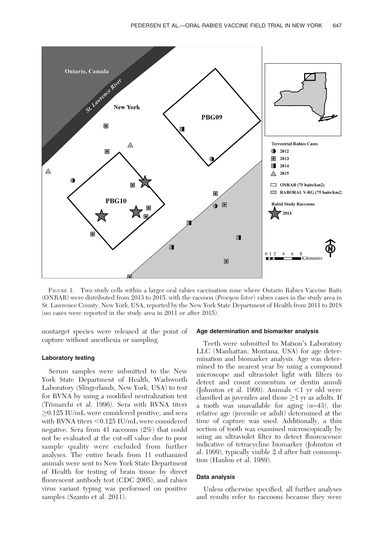

FIGURE 1. Two study cells within a larger oral rabies vaccination zone where Ontario Rabies Vaccine Baits (ONRAB) were distributed from 2013 to 2015, with the raccoon (Procyon lotor) rabies cases in the study area in St. Lawrence County, New York, USA, reported by the New York State Department of Health from 2011 to 2018 (no cases were reported in the study area in 2011 or after 2015).

nontarget species were released at the point of capture without anesthesia or sampling.

## Laboratory testing

Serum samples were submitted to the New York State Department of Health, Wadsworth Laboratory (Slingerlands, New York, USA) to test for RVNA by using a modified neutralization test (Trimarchi et al. 1996). Sera with RVNA titers -0.125 IU/mL were considered positive, and sera with RVNA titers  $< 0.125$  IU/mL were considered negative. Sera from 41 raccoons (2%) that could not be evaluated at the cut-off value due to poor sample quality were excluded from further analyses. The entire heads from 11 euthanized animals were sent to New York State Department of Health for testing of brain tissue by direct fluorescent antibody test (CDC 2005), and rabies virus variant typing was performed on positive samples (Szanto et al. 2011).

#### Age determination and biomarker analysis

Teeth were submitted to Matson's Laboratory LLC (Manhattan, Montana, USA) for age determination and biomarker analysis. Age was determined to the nearest year by using a compound microscope and ultraviolet light with filters to detect and count cementum or dentin annuli (Johnston et al. 1999). Animals  $\leq 1$  yr old were classified as juveniles and those  $\geq\!\!1$  yr as adults. If a tooth was unavailable for aging  $(n=43)$ , the relative age (juvenile or adult) determined at the time of capture was used. Additionally, a thin section of tooth was examined microscopically by using an ultraviolet filter to detect fluorescence indicative of tetracycline biomarker (Johnston et al. 1999), typically visible 2 d after bait consumption (Hanlon et al. 1989).

#### Data analysis

Unless otherwise specified, all further analyses and results refer to raccoons because they were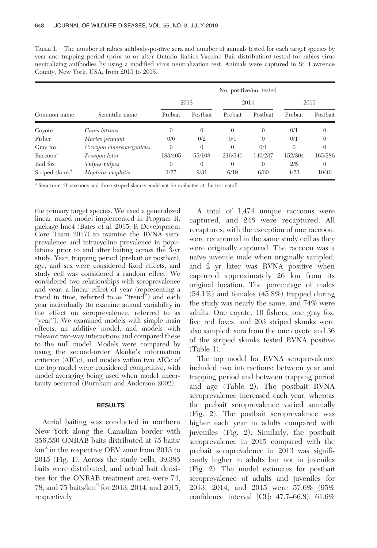TABLE 1. The number of rabies antibody-positive sera and number of animals tested for each target species by year and trapping period (prior to or after Ontario Rabies Vaccine Bait distribution) tested for rabies virus neutralizing antibodies by using a modified virus neutralization test. Animals were captured in St. Lawrence County, New York, USA, from 2013 to 2015.

| Common name                | Scientific name          | No. positive/no. tested |          |          |          |          |          |  |
|----------------------------|--------------------------|-------------------------|----------|----------|----------|----------|----------|--|
|                            |                          | 2013                    |          | 2014     |          | 2015     |          |  |
|                            |                          | Prebait                 | Postbait | Prebait  | Postbait | Prebait  | Postbait |  |
| Coyote                     | Canis latrans            | $\Omega$                | $\Omega$ | $\Omega$ | $\Omega$ | 0/1      | $\theta$ |  |
| Fisher                     | Martes pennant           | 0/6                     | 0/2      | 0/1      | $\Omega$ | 0/1      | $\theta$ |  |
| Gray fox                   | Urocyon cinereoargenteus | $\Omega$                | $\theta$ | $\Omega$ | 0/1      | $\Omega$ | $\theta$ |  |
| Raccoon <sup>a</sup>       | Procyon lotor            | 183/405                 | 55/108   | 216/341  | 140/237  | 152/304  | 165/286  |  |
| Red fox                    | Vulpes vulpes            | $\Omega$                | $\theta$ | $\Omega$ | $\theta$ | 2/5      | 0        |  |
| Striped skunk <sup>a</sup> | Mephitis mephitis        | 1/27                    | 9/31     | 6/19     | 6/60     | 4/23     | 10/40    |  |

<sup>a</sup> Sera from 41 raccoons and three striped skunks could not be evaluated at the test cutoff.

the primary target species. We used a generalized linear mixed model implemented in Program R, package lme4 (Bates et al. 2015; R Development Core Team 2017) to examine the RVNA seroprevalence and tetracycline prevalence in populations prior to and after baiting across the 3-yr study. Year, trapping period (prebait or postbait), age, and sex were considered fixed effects, and study cell was considered a random effect. We considered two relationships with seroprevalence and year: a linear effect of year (representing a trend in time, referred to as ''trend'') and each year individually (to examine annual variability in the effect on seroprevalence, referred to as "year"). We examined models with simple main effects, an additive model, and models with relevant two-way interactions and compared these to the null model. Models were compared by using the second-order Akaike's information criterion (AICc), and models within two AICc of the top model were considered competitive, with model averaging being used when model uncertainty occurred (Burnham and Anderson 2002).

#### RESULTS

Aerial baiting was conducted in northern New York along the Canadian border with 356,550 ONRAB baits distributed at 75 baits/ km<sup>2</sup> in the respective ORV zone from 2013 to 2015 (Fig. 1). Across the study cells, 39,385 baits were distributed, and actual bait densities for the ONRAB treatment area were 74, 78, and 75 baits/ $km^2$  for 2013, 2014, and 2015, respectively.

A total of 1,474 unique raccoons were captured, and 248 were recaptured. All recaptures, with the exception of one raccoon, were recaptured in the same study cell as they were originally captured. The raccoon was a naïve juvenile male when originally sampled, and 2 yr later was RVNA positive when captured approximately 26 km from its original location. The percentage of males (54.1%) and females (45.8%) trapped during the study was nearly the same, and 74% were adults. One coyote, 10 fishers, one gray fox, five red foxes, and 203 striped skunks were also sampled; sera from the one coyote and 36 of the striped skunks tested RVNA positive (Table 1).

The top model for RVNA seroprevalence included two interactions: between year and trapping period and between trapping period and age (Table 2). The postbait RVNA seroprevalence increased each year, whereas the prebait seroprevalence varied annually (Fig. 2). The postbait seroprevalence was higher each year in adults compared with juveniles (Fig. 2). Similarly, the postbait seroprevalence in 2015 compared with the prebait seroprevalence in 2013 was significantly higher in adults but not in juveniles (Fig. 2). The model estimates for postbait seroprevalence of adults and juveniles for 2013, 2014, and 2015 were 57.6% (95% confidence interval [CI]: 47.7–66.8), 61.6%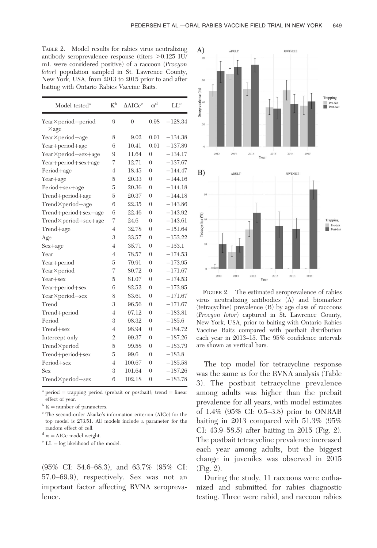| TABLE 2. Model results for rabies virus neutralizing         |
|--------------------------------------------------------------|
| antibody seroprevalence response (titers $>0.125$ IU/        |
| mL were considered positive) of a raccoon ( <i>Procyon</i> ) |
| <i>lotor</i> ) population sampled in St. Lawrence County,    |
| New York, USA, from 2013 to 2015 prior to and after          |
| baiting with Ontario Rabies Vaccine Baits.                   |

| Model tested <sup>a</sup>         | $K^{\rm b}$    | $\triangle AICc^c$ | $\omega^{\rm d}$ | $\operatorname{LL}^{\operatorname{e}}$ |
|-----------------------------------|----------------|--------------------|------------------|----------------------------------------|
| Year×period+period                | 9              | $\overline{0}$     | 0.98             | $-128.34$                              |
| $\times$ age                      | 8              | 9.02               | 0.01             | $-134.38$                              |
| Year×period+age                   | 6              | 10.41              | 0.01             | $-137.89$                              |
| Year+period+age                   | 9              | 11.64              | $\overline{0}$   | $-134.17$                              |
| Year×period+sex+age               | 7              | 12.71              | $\theta$         | $-137.67$                              |
| Year+period+sex+age<br>Period+age | 4              | 18.45              | $\overline{0}$   | $-144.47$                              |
|                                   | $\overline{5}$ |                    |                  |                                        |
| Year+age                          |                | 20.33              | $\overline{0}$   | $-144.16$                              |
| Period+sex+age                    | 5              | 20.36              | $\overline{0}$   | $-144.18$                              |
| Trend+period+age                  | 5              | 20.37              | $\overline{0}$   | $-144.18$                              |
| Trend×period+age                  | 6              | 22.35              | $\overline{0}$   | $-143.86$                              |
| Trend+period+sex+age              | 6              | 22.46              | $\overline{0}$   | $-143.92$                              |
| Trend×period+sex+age              | 7              | 24.6               | $\theta$         | $-143.61$                              |
| Trend+age                         | $\overline{4}$ | 32.78              | $\overline{0}$   | $-151.64$                              |
| Age                               | 3              | 33.57              | $\overline{0}$   | $-153.22$                              |
| Sex+age                           | $\overline{4}$ | 35.71              | $\overline{0}$   | $-153.1$                               |
| Year                              | $\overline{4}$ | 78.57              | $\theta$         | $-174.53$                              |
| Year+period                       | 5              | 79.91              | $\overline{0}$   | $-173.95$                              |
| Year×period                       | $\overline{7}$ | 80.72              | $\overline{0}$   | $-171.67$                              |
| Year+sex                          | $\overline{5}$ | 81.07              | $\theta$         | $-174.53$                              |
| Year+period+sex                   | 6              | 82.52              | $\overline{0}$   | $-173.95$                              |
| Year×period+sex                   | 8              | 83.61              | $\overline{0}$   | $-171.67$                              |
| Trend                             | 3              | 96.56              | $\overline{0}$   | $-171.67$                              |
| Trend+period                      | $\overline{4}$ | 97.12              | $\overline{0}$   | $-183.81$                              |
| Period                            | 3              | 98.32              | $\overline{0}$   | $-185.6$                               |
| Trend+sex                         | $\overline{4}$ | 98.94              | $\overline{0}$   | $-184.72$                              |
| Intercept only                    | $\overline{2}$ | 99.37              | $\theta$         | $-187.26$                              |
| Trend×period                      | 5              | 99.58              | $\overline{0}$   | $-183.79$                              |
| Trend+period+sex                  | 5              | 99.6               | $\theta$         | $-183.8$                               |
| Period+sex                        | $\overline{4}$ | 100.67             | $\overline{0}$   | $-185.58$                              |
| Sex                               | 3              | 101.64             | $\overline{0}$   | $-187.26$                              |
| Trend×period+sex                  | 6              | 102.18             | $\overline{0}$   | $-183.78$                              |

 $period = trapping period (prebait or postbait); trend = linear$ effect of year.

 $^{\rm b}$  K  $=$  number of parameters.

 $\,^{\rm c}$  The second-order Akaike's information criterion (AICc) for the top model is 273.51. All models include a parameter for the random effect of cell.

 $d \omega = AICc$  model weight.

 $e^e$  LL = log likelihood of the model.

(95% CI: 54.6–68.3), and 63.7% (95% CI: 57.0–69.9), respectively. Sex was not an important factor affecting RVNA seroprevalence.



FIGURE 2. The estimated seroprevalence of rabies virus neutralizing antibodies (A) and biomarker (tetracycline) prevalence (B) by age class of raccoons (Procyon lotor) captured in St. Lawrence County, New York, USA, prior to baiting with Ontario Rabies Vaccine Baits compared with postbait distribution each year in 2013–15. The 95% confidence intervals are shown as vertical bars.

The top model for tetracycline response was the same as for the RVNA analysis (Table 3). The postbait tetracycline prevalence among adults was higher than the prebait prevalence for all years, with model estimates of 1.4% (95% CI: 0.5–3.8) prior to ONRAB baiting in 2013 compared with 51.3% (95% CI: 43.9–58.5) after baiting in 2015 (Fig. 2). The postbait tetracycline prevalence increased each year among adults, but the biggest change in juveniles was observed in 2015 (Fig. 2).

During the study, 11 raccoons were euthanized and submitted for rabies diagnostic testing. Three were rabid, and raccoon rabies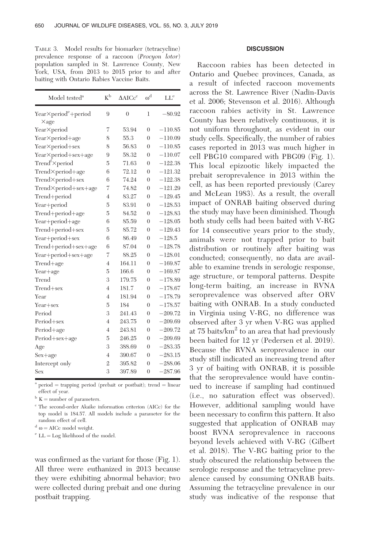TABLE 3. Model results for biomarker (tetracycline) prevalence response of a raccoon (Procyon lotor) population sampled in St. Lawrence County, New York, USA, from 2013 to 2015 prior to and after baiting with Ontario Rabies Vaccine Baits.

| Model tested <sup>a</sup>        | $K^{\rm b}$              | $\triangle$ AIC $c^c$ | $\omega^{\rm d}$ | $LL^e$    |
|----------------------------------|--------------------------|-----------------------|------------------|-----------|
| Year×period <sup>e</sup> +period | 9                        | $\overline{0}$        | 1                | $-80.92$  |
| $\times$ age                     |                          |                       |                  |           |
| Year×period                      | 7                        | 53.94                 | $\theta$         | $-110.85$ |
| Year×period+age                  | 8                        | 55.3                  | $\theta$         | $-110.09$ |
| Year×period+sex                  | 8                        | 56.83                 | $\theta$         | $-110.85$ |
| Year×period+sex+age              | 9                        | 58.32                 | $\theta$         | $-110.07$ |
| Trend <sup>f</sup> ×period       | 5                        | 71.63                 | $\theta$         | $-122.38$ |
| Trend×period+age                 | 6                        | 72.12                 | $\theta$         | $-121.32$ |
| Trend×period+sex                 | 6                        | 74.24                 | $\theta$         | $-122.38$ |
| Trend×period+sex+age             | 7                        | 74.82                 | $\theta$         | $-121.29$ |
| Trend+period                     | $\overline{4}$           | 83.27                 | $\theta$         | $-129.45$ |
| Year+period                      | 5                        | 83.91                 | $\theta$         | $-128.53$ |
| $Trend+period+age$               | 5                        | 84.52                 | $\theta$         | $-128.83$ |
| Year+period+age                  | 6                        | 85.59                 | $\theta$         | $-128.05$ |
| Trend+period+sex                 | 5                        | 85.72                 | $\theta$         | $-129.43$ |
| Year+period+sex                  | 6                        | 86.49                 | $\theta$         | $-128.5$  |
| Trend+period+sex+age             | 6                        | 87.04                 | $\theta$         | $-128.78$ |
| Year+period+sex+age              | 7                        | 88.25                 | $\theta$         | $-128.01$ |
| Trend+age                        | $\overline{\mathcal{A}}$ | 164.11                | $\theta$         | $-169.87$ |
| Year+age                         | 5                        | 166.6                 | $\theta$         | $-169.87$ |
| Trend                            | 3                        | 179.75                | $\theta$         | $-178.89$ |
| $Trend + sex$                    | $\overline{4}$           | 181.7                 | $\overline{0}$   | $-178.67$ |
| Year                             | $\overline{4}$           | 181.94                | $\theta$         | $-178.79$ |
| Year+sex                         | 5                        | 184                   | $\theta$         | $-178.57$ |
| Period                           | 3                        | 241.43                | $\theta$         | $-209.72$ |
| Period+sex                       | $\overline{4}$           | 243.75                | $\theta$         | $-209.69$ |
| Period+age                       | $\overline{4}$           | 243.81                | $\theta$         | $-209.72$ |
| Period+sex+age                   | 5                        | 246.25                | $\theta$         | $-209.69$ |
| Age                              | 3                        | 388.69                | $\theta$         | $-283.35$ |
| Sex+age                          | $\overline{4}$           | 390.67                | $\theta$         | $-283.15$ |
| Intercept only                   | $\overline{2}$           | 395.82                | $\theta$         | $-288.06$ |
| Sex                              | 3                        | 397.89                | $\theta$         | $-287.96$ |

 $a<sup>a</sup>$  period = trapping period (prebait or postbait); trend = linear effect of year.

 $^{\rm b}$  K  $=$  number of parameters.

<sup>c</sup> The second-order Akaike information criterion (AICc) for the top model is 184.57. All models include a parameter for the random effect of cell.

 $d \omega = AICc$  model weight.

 $e^e$  LL  $=$  Log likelihood of the model.

was confirmed as the variant for those (Fig. 1). All three were euthanized in 2013 because they were exhibiting abnormal behavior; two were collected during prebait and one during postbait trapping.

#### **DISCUSSION**

Raccoon rabies has been detected in Ontario and Quebec provinces, Canada, as a result of infected raccoon movements across the St. Lawrence River (Nadin-Davis et al. 2006; Stevenson et al. 2016). Although raccoon rabies activity in St. Lawrence County has been relatively continuous, it is not uniform throughout, as evident in our study cells. Specifically, the number of rabies cases reported in 2013 was much higher in cell PBG10 compared with PBG09 (Fig. 1). This local epizootic likely impacted the prebait seroprevalence in 2013 within the cell, as has been reported previously (Carey and McLean 1983). As a result, the overall impact of ONRAB baiting observed during the study may have been diminished. Though both study cells had been baited with V-RG for 14 consecutive years prior to the study, animals were not trapped prior to bait distribution or routinely after baiting was conducted; consequently, no data are available to examine trends in serologic response, age structure, or temporal patterns. Despite long-term baiting, an increase in RVNA seroprevalence was observed after ORV baiting with ONRAB. In a study conducted in Virginia using V-RG, no difference was observed after 3 yr when V-RG was applied at  $75$  baits/ $km^2$  to an area that had previously been baited for 12 yr (Pedersen et al. 2019). Because the RVNA seroprevalence in our study still indicated an increasing trend after 3 yr of baiting with ONRAB, it is possible that the seroprevalence would have continued to increase if sampling had continued (i.e., no saturation effect was observed). However, additional sampling would have been necessary to confirm this pattern. It also suggested that application of ONRAB may boost RVNA seroprevalence in raccoons beyond levels achieved with V-RG (Gilbert et al. 2018). The V-RG baiting prior to the study obscured the relationship between the serologic response and the tetracycline prevalence caused by consuming ONRAB baits. Assuming the tetracycline prevalence in our study was indicative of the response that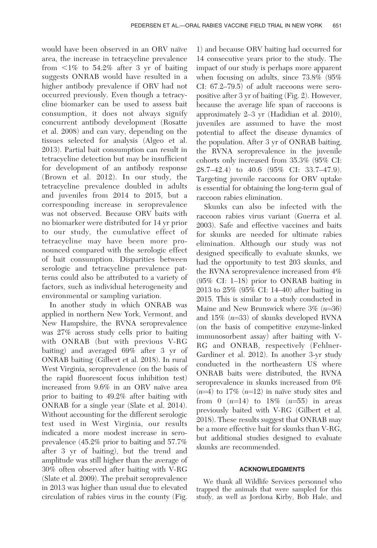would have been observed in an ORV naïve area, the increase in tetracycline prevalence from  $\leq 1\%$  to 54.2% after 3 yr of baiting suggests ONRAB would have resulted in a higher antibody prevalence if ORV had not occurred previously. Even though a tetracycline biomarker can be used to assess bait consumption, it does not always signify concurrent antibody development (Rosatte et al. 2008) and can vary, depending on the tissues selected for analysis (Algeo et al. 2013). Partial bait consumption can result in tetracycline detection but may be insufficient for development of an antibody response (Brown et al. 2012). In our study, the tetracycline prevalence doubled in adults and juveniles from 2014 to 2015, but a corresponding increase in seroprevalence was not observed. Because ORV baits with no biomarker were distributed for 14 yr prior to our study, the cumulative effect of tetracycline may have been more pronounced compared with the serologic effect of bait consumption. Disparities between serologic and tetracycline prevalence patterns could also be attributed to a variety of factors, such as individual heterogeneity and environmental or sampling variation.

In another study in which ONRAB was applied in northern New York, Vermont, and New Hampshire, the RVNA seroprevalence was 27% across study cells prior to baiting with ONRAB (but with previous V-RG baiting) and averaged 69% after 3 yr of ONRAB baiting (Gilbert et al. 2018). In rural West Virginia, seroprevalence (on the basis of the rapid fluorescent focus inhibition test) increased from  $9.6\%$  in an ORV naïve area prior to baiting to 49.2% after baiting with ONRAB for a single year (Slate et al. 2014). Without accounting for the different serologic test used in West Virginia, our results indicated a more modest increase in seroprevalence (45.2% prior to baiting and 57.7% after 3 yr of baiting), but the trend and amplitude was still higher than the average of 30% often observed after baiting with V-RG (Slate et al. 2009). The prebait seroprevalence in 2013 was higher than usual due to elevated circulation of rabies virus in the county (Fig.

1) and because ORV baiting had occurred for 14 consecutive years prior to the study. The impact of our study is perhaps more apparent when focusing on adults, since 73.8% (95% CI: 67.2–79.5) of adult raccoons were seropositive after 3 yr of baiting (Fig. 2). However, because the average life span of raccoons is approximately 2–3 yr (Hadidian et al. 2010), juveniles are assumed to have the most potential to affect the disease dynamics of the population. After 3 yr of ONRAB baiting, the RVNA seroprevalence in the juvenile cohorts only increased from 35.3% (95% CI: 28.7–42.4) to 40.6 (95% CI: 33.7–47.9). Targeting juvenile raccoons for ORV uptake is essential for obtaining the long-term goal of raccoon rabies elimination.

Skunks can also be infected with the raccoon rabies virus variant (Guerra et al. 2003). Safe and effective vaccines and baits for skunks are needed for ultimate rabies elimination. Although our study was not designed specifically to evaluate skunks, we had the opportunity to test 203 skunks, and the RVNA seroprevalence increased from 4% (95% CI: 1–18) prior to ONRAB baiting in 2013 to 25% (95% CI: 14–40) after baiting in 2015. This is similar to a study conducted in Maine and New Brunswick where  $3\%$  ( $n=36$ ) and 15%  $(n=33)$  of skunks developed RVNA (on the basis of competitive enzyme-linked immunosorbent assay) after baiting with V-RG and ONRAB, respectively (Fehlner-Gardiner et al. 2012). In another 3-yr study conducted in the northeastern US where ONRAB baits were distributed, the RVNA seroprevalence in skunks increased from 0%  $(n=4)$  to 17%  $(n=12)$  in naïve study sites and from 0  $(n=14)$  to 18%  $(n=55)$  in areas previously baited with V-RG (Gilbert et al. 2018). These results suggest that ONRAB may be a more effective bait for skunks than V-RG, but additional studies designed to evaluate skunks are recommended.

## ACKNOWLEDGMENTS

We thank all Wildlife Services personnel who trapped the animals that were sampled for this study, as well as Jordona Kirby, Bob Hale, and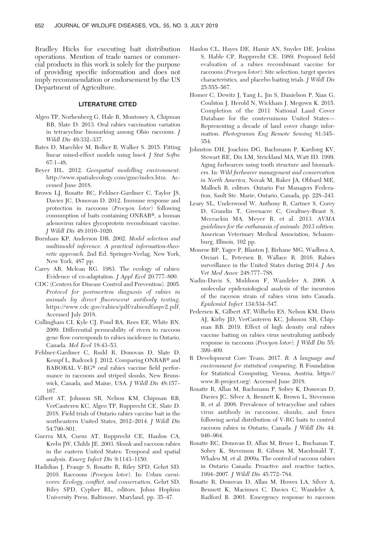Bradley Hicks for executing bait distribution operations. Mention of trade names or commercial products in this work is solely for the purpose of providing specific information and does not imply recommendation or endorsement by the US Department of Agriculture.

## LITERATURE CITED

- Algeo TP, Norhenberg G, Hale R, Montoney A, Chipman RB, Slate D. 2013. Oral rabies vaccination variation in tetracycline biomarking among Ohio raccoons. J Wildl Dis 49:332–337.
- Bates D, Maechler M, Bolker B, Walker S. 2015. Fitting linear mixed-effect models using lme4. J Stat Softw 67:1–48.
- Beyer HL. 2012. Geospatial modelling environment. http://www.spatialecology.com/gme/index.htm. Accessed June 2018.
- Brown LJ, Rosatte RC, Fehlner-Gardiner C, Taylor JS, Davies JC, Donovan D. 2012. Immune response and protection in raccoons (Procyon lotor) following consumption of baits containing ONRAB®, a human adenovirus rabies glycoprotein recombinant vaccine. J Wildl Dis 48:1010–1020.
- Burnham KP, Anderson DR. 2002. Model selection and multimodel inference: A practical information-theoretic approach. 2nd Ed. Springer-Verlag, New York, New York, 487 pp.
- Carey AB, Mclean RG. 1983. The ecology of rabies: Evidence of co-adaptation. J Appl Ecol 20:777–800.
- CDC (Centers for Disease Control and Prevention). 2005. Protocol for postmortem diagnosis of rabies in animals by direct fluorescent antibody testing. https://www.cdc.gov/rabies/pdf/rabiesdfaspv2.pdf. Accessed July 2018.
- Cullingham CI, Kyle CJ, Pond BA, Rees EE, White BN. 2009. Differential permeability of rivers to raccoon gene flow corresponds to rabies incidence in Ontario, Canada. Mol Ecol 18:43–53.
- Fehlner-Gardiner C, Rudd R, Donovan D, Slate D, Kempf L, Badcock J. 2012. Comparing ONRAB® and RABORAL V-RG® oral rabies vaccine field performance in raccoons and striped skunks, New Brunswick, Canada, and Maine, USA. J Wildl Dis 48:157– 167.
- Gilbert AT, Johnson SR, Nelson KM, Chipman RB, VerCauteren KC, Algeo TP, Rupprecht CE, Slate D. 2018. Field trials of Ontario rabies vaccine bait in the northeastern United States, 2012–2014. J Wildl Dis 54:790–801.
- Guerra MA, Curns AT, Rupprecht CE, Hanlon CA, Krebs JW, Childs JE. 2003. Skunk and raccoon rabies in the eastern United States: Temporal and spatial analysis. Emerg Infect Dis 9:1143–1150.
- Hadidian J, Prange S, Rosatte R, Riley SPD, Gehrt SD. 2010. Raccoons (Procyon lotor). In: Urban carnivores: Ecology, conflict, and conservation, Gehrt SD, Riley SPD, Cypher BL, editors. Johns Hopkins University Press, Baltimore, Maryland, pp. 35–47.
- Hanlon CL, Hayes DE, Hamir AN, Snyder DE, Jenkins S, Hable CP, Rupprecht CE. 1989. Proposed field evaluation of a rabies recombinant vaccine for raccoons (Procyon lotor): Site selection, target species characteristics, and placebo baiting trials. J Wildl Dis 25:555–567.
- Homer C, Dewitz J, Yang L, Jin S, Danielson P, Xian G, Coulston J, Herold N, Wickham J, Megown K. 2015. Completion of the 2011 National Land Cover Database for the conterminous United States— Representing a decade of land cover change information. Photogramm Eng Remote Sensing 81:345– 354.
- Johnston DH, Joachim DG, Bachmann P, Kardong KV, Stewart RE, Dix LM, Strickland MA, Watt ID. 1999. Aging furbearers using tooth structure and biomarkers. In: Wild furbearer management and conservation in North America, Novak M, Baker JA, Obbard ME, Malloch B, editors. Ontario Fur Managers Federation, Sault Ste. Marie, Ontario, Canada, pp. 228–243.
- Leary SL, Underwood W, Anthony R, Cartner S, Corey D, Grandin T, Greenacre C, Gwaltney-Brant S, Mccrackin MA, Meyer R, et al. 2013. AVMA guidelines for the euthanasia of animals: 2013 edition. American Veterinary Medical Association, Schaumburg, Illinois, 102 pp.
- Monroe BP, Yager P, Blanton J, Birhane MG, Wadhwa A, Orciari L, Petersen B, Wallace R. 2016. Rabies surveillance in the United States during 2014. *J Am* Vet Med Assoc 248:777–788.
- Nadin-Davis S, Muldoon F, Wandeler A. 2006. A molecular epidemiological analysis of the incursion of the raccoon strain of rabies virus into Canada. Epidemiol Infect 134:534–547.
- Pedersen K, Gilbert AT, Wilhelm ES, Nelson KM, Davis AJ, Kirby JD, VerCauteren KC, Johnson SR, Chipman RB. 2019. Effect of high density oral rabies vaccine baiting on rabies virus neutralizing antibody response in raccoons (Procyon lotor). J Wildl Dis 55: 399–409.
- R Development Core Team. 2017. R: A language and environment for statistical computing. R Foundation for Statistical Computing, Vienna, Austria. https:// www.R-project.org/. Accessed June 2018.
- Rosatte R, Allan M, Bachmann P, Sobey K, Donovan D, Davies JC, Silver A, Bennett K, Brown L, Stevenson B, et al. 2008. Prevalence of tetracycline and rabies virus antibody in raccoons, skunks, and foxes following aerial distribution of V-RG baits to control raccoon rabies in Ontario, Canada. J Wildl Dis 44: 946–964.
- Rosatte RC, Donovan D, Allan M, Bruce L, Buchanan T, Sobey K, Stevenson B, Gibson M, Macdonald T, Whalen M, et al. 2009a. The control of raccoon rabies in Ontario Canada: Proactive and reactive tactics, 1994–2007. J Wildl Dis 45:772–784.
- Rosatte R, Donovan D, Allan M, Howes LA, Silver A, Bennett K, Macinnes C, Davies C, Wandeler A, Radford B. 2001. Emergency response to raccoon